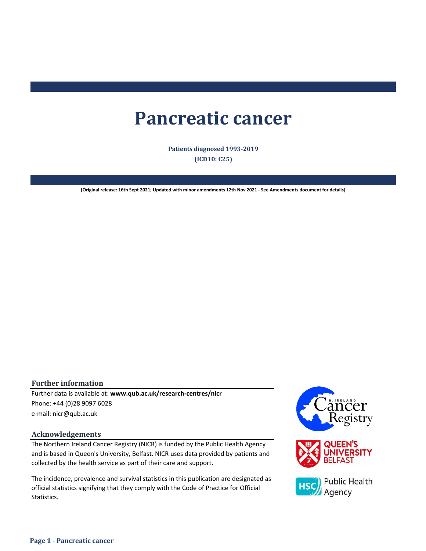# **Pancreatic cancer**

**Patients diagnosed 1993-2019 (ICD10: C25)**

**[Original release: 16th Sept 2021; Updated with minor amendments 12th Nov 2021 - See Amendments document for details]**

### **Further information**

e-mail: nicr@qub.ac.uk Further data is available at: **www.qub.ac.uk/research-centres/nicr** Phone: +44 (0)28 9097 6028

### **Acknowledgements**

The Northern Ireland Cancer Registry (NICR) is funded by the Public Health Agency and is based in Queen's University, Belfast. NICR uses data provided by patients and collected by the health service as part of their care and support.

The incidence, prevalence and survival statistics in this publication are designated as official statistics signifying that they comply with the Code of Practice for Official Statistics.

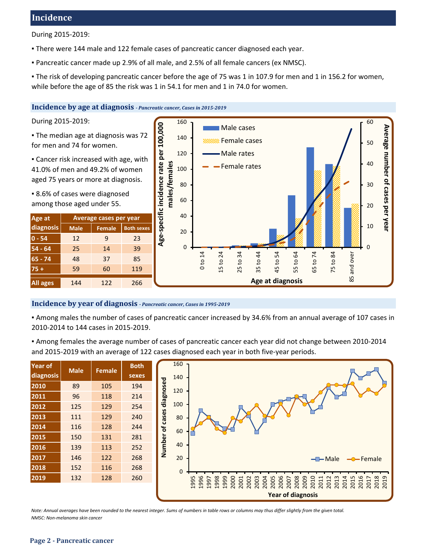# **Incidence**

During 2015-2019:

- There were 144 male and 122 female cases of pancreatic cancer diagnosed each year.
- Pancreatic cancer made up 2.9% of all male, and 2.5% of all female cancers (ex NMSC).

▪ The risk of developing pancreatic cancer before the age of 75 was 1 in 107.9 for men and 1 in 156.2 for women, while before the age of 85 the risk was 1 in 54.1 for men and 1 in 74.0 for women.

### **Incidence by age at diagnosis** *- Pancreatic cancer, Cases in 2015-2019*

```
During 2015-2019:
```
▪ The median age at diagnosis was 72 for men and 74 for women.

**Example 2** Cancer risk increased with age, with 41.0% of men and 49.2% of women aged 75 years or more at diagnosis.

■ 8.6% of cases were diagnosed among those aged under 55.

| Age at    | Average cases per year |               |                   |  |  |  |  |  |
|-----------|------------------------|---------------|-------------------|--|--|--|--|--|
| diagnosis | <b>Male</b>            | <b>Female</b> | <b>Both sexes</b> |  |  |  |  |  |
| $-54$     | 12                     | 9             | 23                |  |  |  |  |  |
| 54 - 64   | 25                     | 14            | 39                |  |  |  |  |  |
| 65 - 74   | 48                     | 37            | 85                |  |  |  |  |  |
| $75 +$    | 59                     | 60            | 119               |  |  |  |  |  |
| All ages  | 144                    | 122           | 266               |  |  |  |  |  |



### **Incidence by year of diagnosis** *- Pancreatic cancer, Cases in 1995-2019*

▪ Among males the number of cases of pancreatic cancer increased by 34.6% from an annual average of 107 cases in 2010-2014 to 144 cases in 2015-2019.

▪ Among females the average number of cases of pancreatic cancer each year did not change between 2010-2014 and 2015-2019 with an average of 122 cases diagnosed each year in both five-year periods.

| <b>Year of</b><br>diagnosis | <b>Male</b> | <b>Female</b> | <b>Both</b><br>sexes |
|-----------------------------|-------------|---------------|----------------------|
| 2010                        | 89          | 105           | 194                  |
| 2011                        | 96          | 118           | 214                  |
| 2012                        | 125         | 129           | 254                  |
| 2013                        | 111         | 129           | 240                  |
| 2014                        | 116         | 128           | 244                  |
| 2015                        | 150         | 131           | 281                  |
| 2016                        | 139         | 113           | 252                  |
| 2017                        | 146         | 122           | 268                  |
| 2018                        | 152         | 116           | 268                  |
| 2019                        | 132         | 128           | 260                  |



*NMSC: Non-melanoma skin cancer Note: Annual averages have been rounded to the nearest integer. Sums of numbers in table rows or columns may thus differ slightly from the given total.*

### **Page 2 - Pancreatic cancer**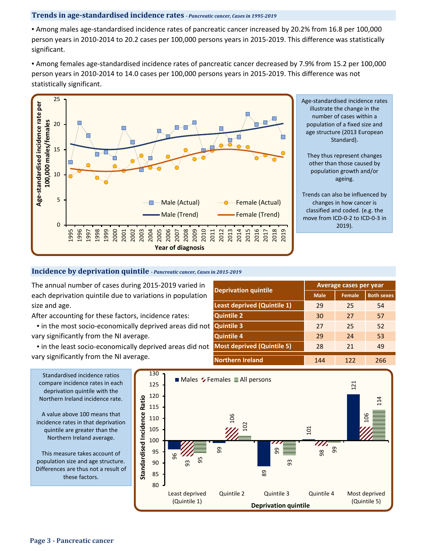### **Trends in age-standardised incidence rates** *- Pancreatic cancer, Cases in 1995-2019*

▪ Among males age-standardised incidence rates of pancreatic cancer increased by 20.2% from 16.8 per 100,000 person years in 2010-2014 to 20.2 cases per 100,000 persons years in 2015-2019. This difference was statistically significant.

▪ Among females age-standardised incidence rates of pancreatic cancer decreased by 7.9% from 15.2 per 100,000 person years in 2010-2014 to 14.0 cases per 100,000 persons years in 2015-2019. This difference was not statistically significant.



Age-standardised incidence rates illustrate the change in the number of cases within a population of a fixed size and age structure (2013 European Standard).

They thus represent changes other than those caused by population growth and/or ageing.

Trends can also be influenced by changes in how cancer is classified and coded. (e.g. the move from ICD-0-2 to ICD-0-3 in 2019).

### **Incidence by deprivation quintile** *- Pancreatic cancer, Cases in 2015-2019*

The annual number of cases during 2015-2019 varied in each deprivation quintile due to variations in population size and age.

After accounting for these factors, incidence rates:

 ▪ in the most socio-economically deprived areas did not vary significantly from the NI average.

vary significantly from the NI average.

| <b>Deprivation quintile</b>        | <b>Average cases per year</b> |               |                   |  |  |  |  |
|------------------------------------|-------------------------------|---------------|-------------------|--|--|--|--|
|                                    | <b>Male</b>                   | <b>Female</b> | <b>Both sexes</b> |  |  |  |  |
| <b>Least deprived (Quintile 1)</b> | 29                            | 25            | 54                |  |  |  |  |
| <b>Quintile 2</b>                  | 30                            | 27            | 57                |  |  |  |  |
| <b>Quintile 3</b>                  | 27                            | 25            | 52                |  |  |  |  |
| <b>Quintile 4</b>                  | 29                            | 24            | 53                |  |  |  |  |
| <b>Most deprived (Quintile 5)</b>  | 28                            | 21            | 49                |  |  |  |  |
| <b>Northern Ireland</b>            | 144                           | 122           | 266               |  |  |  |  |

compare incidence rates in each deprivation quintile with the Northern Ireland incidence rate.

A value above 100 means that incidence rates in that deprivation quintile are greater than the Northern Ireland average.

This measure takes account of population size and age structure. Differences are thus not a result of these factors.



▪ in the least socio-economically deprived areas did not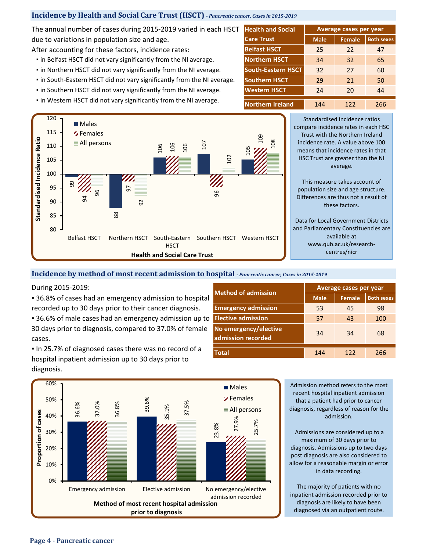### **Incidence by Health and Social Care Trust (HSCT)** *- Pancreatic cancer, Cases in 2015-2019*

The annual number of cases during 2015-2019 varied in each HSCT due to variations in population size and age.

After accounting for these factors, incidence rates: **Belfast HSCT** 

- **.** in Belfast HSCT did not vary significantly from the NI average.
- . in Northern HSCT did not vary significantly from the NI average.
- **.** in South-Eastern HSCT did not vary significantly from the NI average.
- **.** in Southern HSCT did not vary significantly from the NI average.
- **.** in Western HSCT did not vary significantly from the NI average.





Standardised incidence ratios compare incidence rates in each HSC Trust with the Northern Ireland incidence rate. A value above 100 means that incidence rates in that HSC Trust are greater than the NI average.

This measure takes account of population size and age structure. Differences are thus not a result of these factors.

Data for Local Government Districts and Parliamentary Constituencies are available at www.qub.ac.uk/researchcentres/nicr

### **Incidence by method of most recent admission to hospital** *- Pancreatic cancer, Cases in 2015-2019*

During 2015-2019:

■ 36.8% of cases had an emergency admission to hospital recorded up to 30 days prior to their cancer diagnosis. **Emergency admission**

▪ 36.6% of male cases had an emergency admission up to **Elective admission** 30 days prior to diagnosis, compared to 37.0% of female cases.

▪ In 25.7% of diagnosed cases there was no record of a hospital inpatient admission up to 30 days prior to diagnosis.





Admission method refers to the most recent hospital inpatient admission that a patient had prior to cancer diagnosis, regardless of reason for the admission.

Admissions are considered up to a maximum of 30 days prior to diagnosis. Admissions up to two days post diagnosis are also considered to allow for a reasonable margin or error in data recording.

The majority of patients with no inpatient admission recorded prior to diagnosis are likely to have been diagnosed via an outpatient route.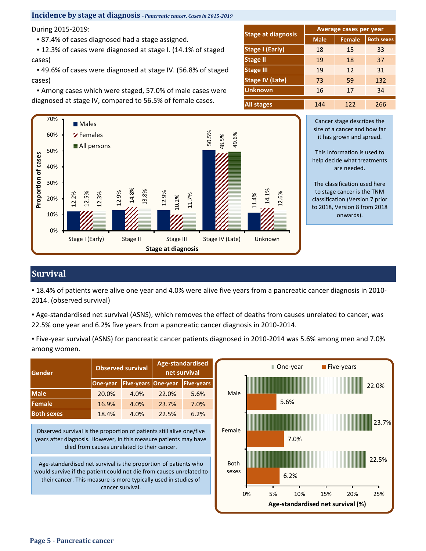## **Incidence by stage at diagnosis** *- Pancreatic cancer, Cases in 2015-2019*

During 2015-2019:

▪ 87.4% of cases diagnosed had a stage assigned.

■ 12.3% of cases were diagnosed at stage I. (14.1% of staged cases)

 ▪ 49.6% of cases were diagnosed at stage IV. (56.8% of staged cases)

 ▪ Among cases which were staged, 57.0% of male cases were diagnosed at stage IV, compared to 56.5% of female cases.

|                           | Average cases per year |                                                                                                                               |     |  |  |  |  |  |
|---------------------------|------------------------|-------------------------------------------------------------------------------------------------------------------------------|-----|--|--|--|--|--|
| <b>Stage at diagnosis</b> | <b>Male</b>            | <b>Female</b><br><b>Both sexes</b><br>33<br>18<br>15<br>19<br>18<br>37<br>12<br>19<br>31<br>59<br>132<br>73<br>16<br>34<br>17 |     |  |  |  |  |  |
| <b>Stage I (Early)</b>    |                        |                                                                                                                               |     |  |  |  |  |  |
| <b>Stage II</b>           |                        |                                                                                                                               |     |  |  |  |  |  |
| <b>Stage III</b>          |                        |                                                                                                                               |     |  |  |  |  |  |
| <b>Stage IV (Late)</b>    |                        |                                                                                                                               |     |  |  |  |  |  |
| <b>Unknown</b>            |                        |                                                                                                                               |     |  |  |  |  |  |
| <b>All stages</b>         | 144                    | 122                                                                                                                           | 266 |  |  |  |  |  |



Cancer stage describes the size of a cancer and how far it has grown and spread.

This information is used to help decide what treatments are needed.

The classification used here to stage cancer is the TNM classification (Version 7 prior to 2018, Version 8 from 2018 onwards).

# **Survival**

▪ 18.4% of patients were alive one year and 4.0% were alive five years from a pancreatic cancer diagnosis in 2010- 2014. (observed survival)

▪ Age-standardised net survival (ASNS), which removes the effect of deaths from causes unrelated to cancer, was 22.5% one year and 6.2% five years from a pancreatic cancer diagnosis in 2010-2014.

▪ Five-year survival (ASNS) for pancreatic cancer patients diagnosed in 2010-2014 was 5.6% among men and 7.0% among women.

| Gender                                                                                                                                                                                                                        | <b>Observed survival</b> |                   | <b>Age-standardised</b><br>net survival |                   | III One-year<br><b>■ Five-years</b> |        |  |      |     |  |       |
|-------------------------------------------------------------------------------------------------------------------------------------------------------------------------------------------------------------------------------|--------------------------|-------------------|-----------------------------------------|-------------------|-------------------------------------|--------|--|------|-----|--|-------|
|                                                                                                                                                                                                                               | One-year                 | <b>Five-years</b> | One-year                                | <b>Five-years</b> |                                     |        |  |      |     |  | 22.0% |
| <b>Male</b>                                                                                                                                                                                                                   | 20.0%                    | 4.0%              | 22.0%                                   | 5.6%              | Male                                |        |  |      |     |  |       |
| <b>Female</b>                                                                                                                                                                                                                 | 16.9%                    | 4.0%              | 23.7%                                   | 7.0%              |                                     |        |  | 5.6% |     |  |       |
| <b>Both sexes</b>                                                                                                                                                                                                             | 18.4%                    | 4.0%              | 22.5%                                   | 6.2%              |                                     |        |  |      |     |  |       |
| Observed survival is the proportion of patients still alive one/five<br>years after diagnosis. However, in this measure patients may have<br>died from causes unrelated to their cancer.                                      |                          |                   |                                         |                   |                                     | Female |  | 7.0% |     |  | 23.7% |
| Age-standardised net survival is the proportion of patients who<br>would survive if the patient could not die from causes unrelated to<br>their cancer. This measure is more typically used in studies of<br>cancer survival. |                          |                   |                                         |                   | <b>Both</b><br>sexes                |        |  | 6.2% |     |  | 22.5% |
| 0%<br>5%<br>10%<br>20%<br>15%<br>Age-standardised net survival (%)                                                                                                                                                            |                          |                   |                                         |                   |                                     |        |  |      | 25% |  |       |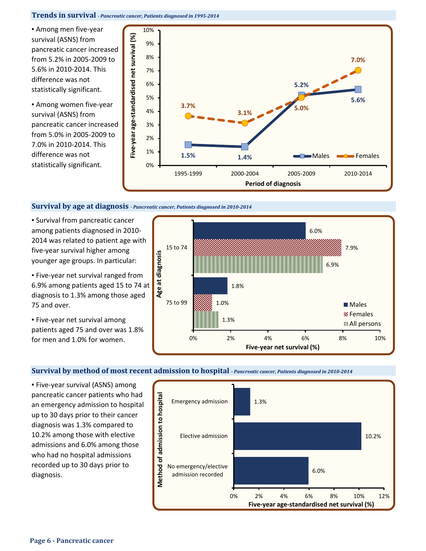### **Trends in survival** *- Pancreatic cancer, Patients diagnosed in 1995-2014*

▪ Among men five-year survival (ASNS) from pancreatic cancer increased from 5.2% in 2005-2009 to 5.6% in 2010-2014. This difference was not statistically significant.

▪ Among women five-year survival (ASNS) from pancreatic cancer increased from 5.0% in 2005-2009 to 7.0% in 2010-2014. This difference was not statistically significant.



### **Survival by age at diagnosis** *- Pancreatic cancer, Patients diagnosed in 2010-2014*

▪ Survival from pancreatic cancer among patients diagnosed in 2010- 2014 was related to patient age with five-year survival higher among younger age groups. In particular:

▪ Five-year net survival ranged from 6.9% among patients aged 15 to 74 at diagnosis to 1.3% among those aged 75 and over.

▪ Five-year net survival among patients aged 75 and over was 1.8% for men and 1.0% for women.



### **Survival by method of most recent admission to hospital** *- Pancreatic cancer, Patients diagnosed in 2010-2014*

**Eive-year survival (ASNS) among** pancreatic cancer patients who had an emergency admission to hospital up to 30 days prior to their cancer diagnosis was 1.3% compared to 10.2% among those with elective admissions and 6.0% among those who had no hospital admissions recorded up to 30 days prior to diagnosis.

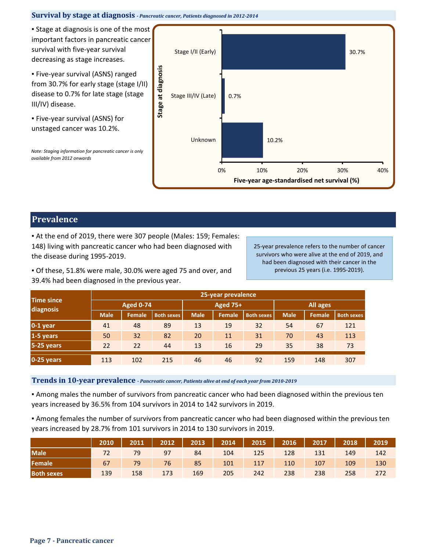### **Survival by stage at diagnosis** *- Pancreatic cancer, Patients diagnosed in 2012-2014*

**• Stage at diagnosis is one of the most** important factors in pancreatic cancer survival with five-year survival decreasing as stage increases.

▪ Five-year survival (ASNS) ranged from 30.7% for early stage (stage I/II) disease to 0.7% for late stage (stage III/IV) disease.

▪ Five-year survival (ASNS) for unstaged cancer was 10.2%.

*Note: Staging information for pancreatic cancer is only available from 2012 onwards*



# **Prevalence**

▪ At the end of 2019, there were 307 people (Males: 159; Females: 148) living with pancreatic cancer who had been diagnosed with the disease during 1995-2019.

25-year prevalence refers to the number of cancer survivors who were alive at the end of 2019, and had been diagnosed with their cancer in the previous 25 years (i.e. 1995-2019).

▪ Of these, 51.8% were male, 30.0% were aged 75 and over, and 39.4% had been diagnosed in the previous year.

| <b>Time since</b><br>diagnosis | 25-year prevalence |                  |                   |             |                 |                   |             |        |                   |  |  |  |
|--------------------------------|--------------------|------------------|-------------------|-------------|-----------------|-------------------|-------------|--------|-------------------|--|--|--|
|                                |                    | <b>Aged 0-74</b> |                   |             | <b>Aged 75+</b> |                   | All ages    |        |                   |  |  |  |
|                                | <b>Male</b>        | <b>Female</b>    | <b>Both sexes</b> | <b>Male</b> | Female          | <b>Both sexes</b> | <b>Male</b> | Female | <b>Both sexes</b> |  |  |  |
| 0-1 year                       | 41                 | 48               | 89                | 13          | 19              | 32                | 54          | 67     | 121               |  |  |  |
| 1-5 years                      | 50                 | 32               | 82                | 20          | 11              | 31                | 70          | 43     | 113               |  |  |  |
| 5-25 years                     | 22                 | 22               | 44                | 13          | 16              | 29                | 35          | 38     | 73                |  |  |  |
| 0-25 years                     | 113                | 102              | 215               | 46          | 46              | 92                | 159         | 148    | 307               |  |  |  |

**Trends in 10-year prevalence** *- Pancreatic cancer, Patients alive at end of each year from 2010-2019*

▪ Among males the number of survivors from pancreatic cancer who had been diagnosed within the previous ten years increased by 36.5% from 104 survivors in 2014 to 142 survivors in 2019.

▪ Among females the number of survivors from pancreatic cancer who had been diagnosed within the previous ten years increased by 28.7% from 101 survivors in 2014 to 130 survivors in 2019.

|                   | 2010 |     |     |     | 2011   2012   2013   2014   2015   2016 |     |     | 2017 | 2018 | 2019 |
|-------------------|------|-----|-----|-----|-----------------------------------------|-----|-----|------|------|------|
| <b>Male</b>       | 72   | 79  | 97  | 84  | 104                                     | 125 | 128 | 131  | 149  | 142  |
| Female            | 67   | 79  | 76  | 85  | 101                                     | 117 | 110 | 107  | 109  | 130  |
| <b>Both sexes</b> | 139  | 158 | 173 | 169 | 205                                     | 242 | 238 | 238  | 258  | 272  |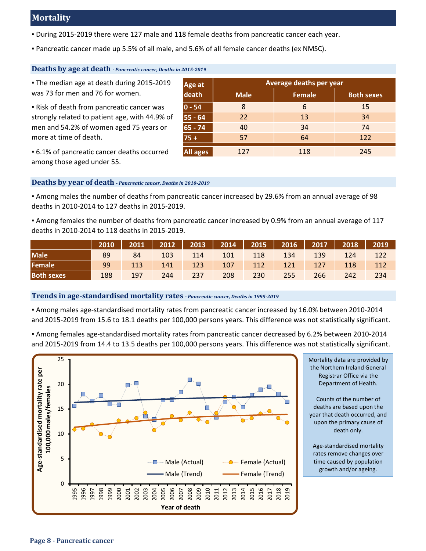# **Mortality**

- During 2015-2019 there were 127 male and 118 female deaths from pancreatic cancer each year.
- Pancreatic cancer made up 5.5% of all male, and 5.6% of all female cancer deaths (ex NMSC).

### **Deaths by age at death** *- Pancreatic cancer, Deaths in 2015-2019*

▪ The median age at death during 2015-2019 was 73 for men and 76 for women.

**.** Risk of death from pancreatic cancer was strongly related to patient age, with 44.9% of men and 54.2% of women aged 75 years or more at time of death.

| Age at     | Average deaths per year |               |                   |  |  |  |  |  |
|------------|-------------------------|---------------|-------------------|--|--|--|--|--|
| death      | <b>Male</b>             | <b>Female</b> | <b>Both sexes</b> |  |  |  |  |  |
| $ 0 - 54 $ | 8                       | 6             | 15                |  |  |  |  |  |
| 55 - 64    | 22                      | 13            | 34                |  |  |  |  |  |
| $65 - 74$  | 40                      | 34            | 74                |  |  |  |  |  |
| $75 +$     | 57                      | 64            | 122               |  |  |  |  |  |
| All ages   | 127                     | 118           | 245               |  |  |  |  |  |

▪ 6.1% of pancreatic cancer deaths occurred among those aged under 55.

### **Deaths by year of death** *- Pancreatic cancer, Deaths in 2010-2019*

▪ Among males the number of deaths from pancreatic cancer increased by 29.6% from an annual average of 98 deaths in 2010-2014 to 127 deaths in 2015-2019.

▪ Among females the number of deaths from pancreatic cancer increased by 0.9% from an annual average of 117 deaths in 2010-2014 to 118 deaths in 2015-2019.

|                   | 2010 |     |     |            |     |                    |                  |     | 2011   2012   2013   2014   2015   2016   2017   2018   2019 |     |
|-------------------|------|-----|-----|------------|-----|--------------------|------------------|-----|--------------------------------------------------------------|-----|
| Male              | 89   | 84  | 103 | 114        | 101 | 118                | $\overline{134}$ | 139 | 124                                                          | 122 |
| Female            | 99   | 113 | 141 | $\sim$ 123 | 107 | $\blacksquare$ 112 | 121              | 127 | 118                                                          | 112 |
| <b>Both sexes</b> | 188  | 197 | 244 | 237        | 208 | 230                | 255              | 266 | 242                                                          | 234 |

### **Trends in age-standardised mortality rates** *- Pancreatic cancer, Deaths in 1995-2019*

▪ Among males age-standardised mortality rates from pancreatic cancer increased by 16.0% between 2010-2014 and 2015-2019 from 15.6 to 18.1 deaths per 100,000 persons years. This difference was not statistically significant.

▪ Among females age-standardised mortality rates from pancreatic cancer decreased by 6.2% between 2010-2014 and 2015-2019 from 14.4 to 13.5 deaths per 100,000 persons years. This difference was not statistically significant.



Mortality data are provided by the Northern Ireland General Registrar Office via the Department of Health.

Counts of the number of deaths are based upon the year that death occurred, and upon the primary cause of death only.

Age-standardised mortality rates remove changes over time caused by population growth and/or ageing.